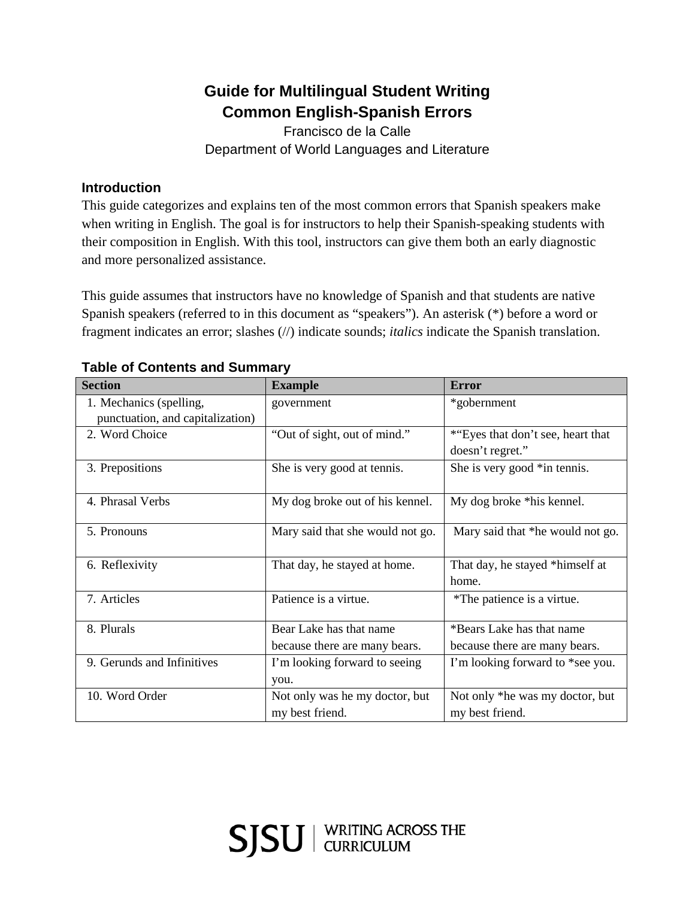# **Guide for Multilingual Student Writing Common English-Spanish Errors**

Francisco de la Calle Department of World Languages and Literature

## **Introduction**

This guide categorizes and explains ten of the most common errors that Spanish speakers make when writing in English. The goal is for instructors to help their Spanish-speaking students with their composition in English. With this tool, instructors can give them both an early diagnostic and more personalized assistance.

This guide assumes that instructors have no knowledge of Spanish and that students are native Spanish speakers (referred to in this document as "speakers"). An asterisk (\*) before a word or fragment indicates an error; slashes (//) indicate sounds; *italics* indicate the Spanish translation.

| <b>Section</b>                   | <b>Example</b>                   | Error                             |
|----------------------------------|----------------------------------|-----------------------------------|
| 1. Mechanics (spelling,          | government                       | *gobernment                       |
| punctuation, and capitalization) |                                  |                                   |
| 2. Word Choice                   | "Out of sight, out of mind."     | *"Eyes that don't see, heart that |
|                                  |                                  | doesn't regret."                  |
| 3. Prepositions                  | She is very good at tennis.      | She is very good *in tennis.      |
|                                  |                                  |                                   |
| 4. Phrasal Verbs                 | My dog broke out of his kennel.  | My dog broke *his kennel.         |
|                                  |                                  |                                   |
| 5. Pronouns                      | Mary said that she would not go. | Mary said that *he would not go.  |
|                                  |                                  |                                   |
| 6. Reflexivity                   | That day, he stayed at home.     | That day, he stayed *himself at   |
|                                  |                                  | home.                             |
| 7. Articles                      | Patience is a virtue.            | *The patience is a virtue.        |
|                                  |                                  |                                   |
| 8. Plurals                       | Bear Lake has that name          | *Bears Lake has that name         |
|                                  | because there are many bears.    | because there are many bears.     |
| 9. Gerunds and Infinitives       | I'm looking forward to seeing    | I'm looking forward to *see you.  |
|                                  | you.                             |                                   |
| 10. Word Order                   | Not only was he my doctor, but   | Not only *he was my doctor, but   |
|                                  | my best friend.                  | my best friend.                   |

### **Table of Contents and Summary**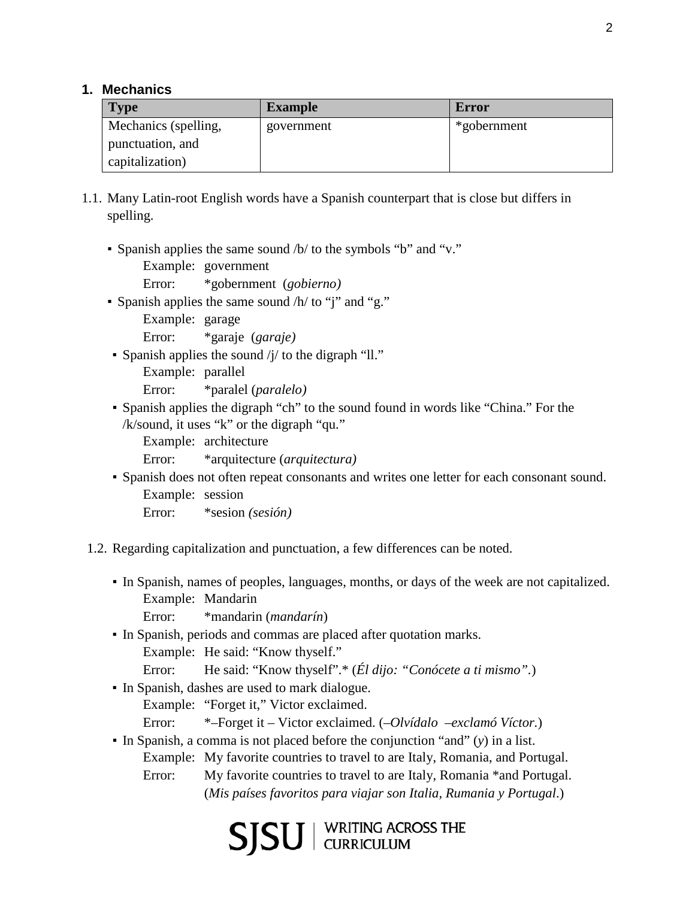### **1. Mechanics**

| <b>Type</b>          | <b>Example</b> | Error       |
|----------------------|----------------|-------------|
| Mechanics (spelling, | government     | *gobernment |
| punctuation, and     |                |             |
| capitalization)      |                |             |

- 1.1. Many Latin-root English words have a Spanish counterpart that is close but differs in spelling.
	- Spanish applies the same sound /b/ to the symbols "b" and "v."

Example: government

Error: \*gobernment (*gobierno)* 

▪ Spanish applies the same sound /h/ to "j" and "g."

Example: garage

Error: \*garaje (*garaje)*

**•** Spanish applies the sound  $\frac{1}{i}$  to the digraph "ll."

Example: parallel

Error: \*paralel (*paralelo)*

▪ Spanish applies the digraph "ch" to the sound found in words like "China." For the /k/sound, it uses "k" or the digraph "qu."

Example: architecture

Error: \*arquitecture (*arquitectura)*

▪ Spanish does not often repeat consonants and writes one letter for each consonant sound. Example: session

Error: \*sesion *(sesión)*

- 1.2. Regarding capitalization and punctuation, a few differences can be noted.
	- In Spanish, names of peoples, languages, months, or days of the week are not capitalized. Example: Mandarin

Error: \*mandarin (*mandarín*)

▪ In Spanish, periods and commas are placed after quotation marks.

Example: He said: "Know thyself."

- Error: He said: "Know thyself".\* (*Él dijo: "Conócete a ti mismo".*)
- In Spanish, dashes are used to mark dialogue.

Example: "Forget it," Victor exclaimed.

Error: \*–Forget it – Victor exclaimed. (–*Olvídalo* –*exclamó Víctor.*)

▪ In Spanish, a comma is not placed before the conjunction "and" (*y*) in a list.

Example: My favorite countries to travel to are Italy, Romania, and Portugal.

Error: My favorite countries to travel to are Italy, Romania \*and Portugal. (*Mis países favoritos para viajar son Italia, Rumania y Portugal*.)

SJSU | WRITING ACROSS THE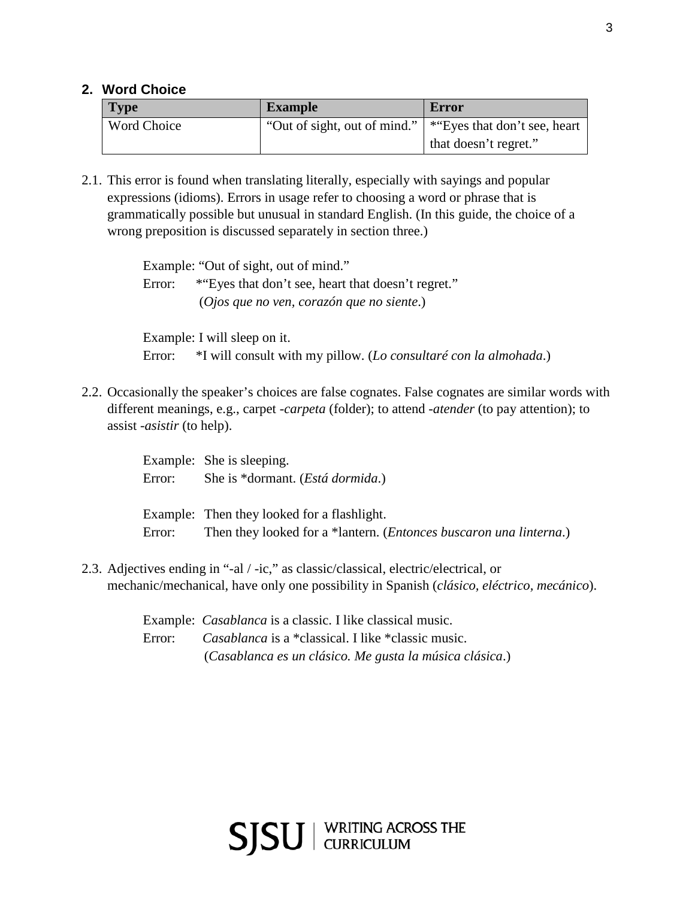### **2. Word Choice**

| <b>Type</b>        | <b>Example</b>                                              | <b>Error</b>          |
|--------------------|-------------------------------------------------------------|-----------------------|
| <b>Word Choice</b> | "Out of sight, out of mind."   *"Eyes that don't see, heart |                       |
|                    |                                                             | that doesn't regret." |

2.1. This error is found when translating literally, especially with sayings and popular expressions (idioms). Errors in usage refer to choosing a word or phrase that is grammatically possible but unusual in standard English. (In this guide, the choice of a wrong preposition is discussed separately in section three.)

> Example: "Out of sight, out of mind." Error: \* "Eyes that don't see, heart that doesn't regret." (*Ojos que no ven, corazón que no siente*.)

Example: I will sleep on it. Error: \*I will consult with my pillow. (*Lo consultaré con la almohada*.)

2.2. Occasionally the speaker's choices are false cognates. False cognates are similar words with different meanings, e.g., carpet -*carpeta* (folder); to attend -*atender* (to pay attention); to assist -*asistir* (to help).

> Example: She is sleeping. Error: She is \*dormant. (*Está dormida*.) Example: Then they looked for a flashlight. Error: Then they looked for a \*lantern. (*Entonces buscaron una linterna*.)

2.3. Adjectives ending in "-al / -ic," as classic/classical, electric/electrical, or mechanic/mechanical, have only one possibility in Spanish (*clásico, eléctrico, mecánico*).

> Example: *Casablanca* is a classic. I like classical music. Error: *Casablanca* is a \*classical. I like \*classic music. (*Casablanca es un clásico. Me gusta la música clásica*.)

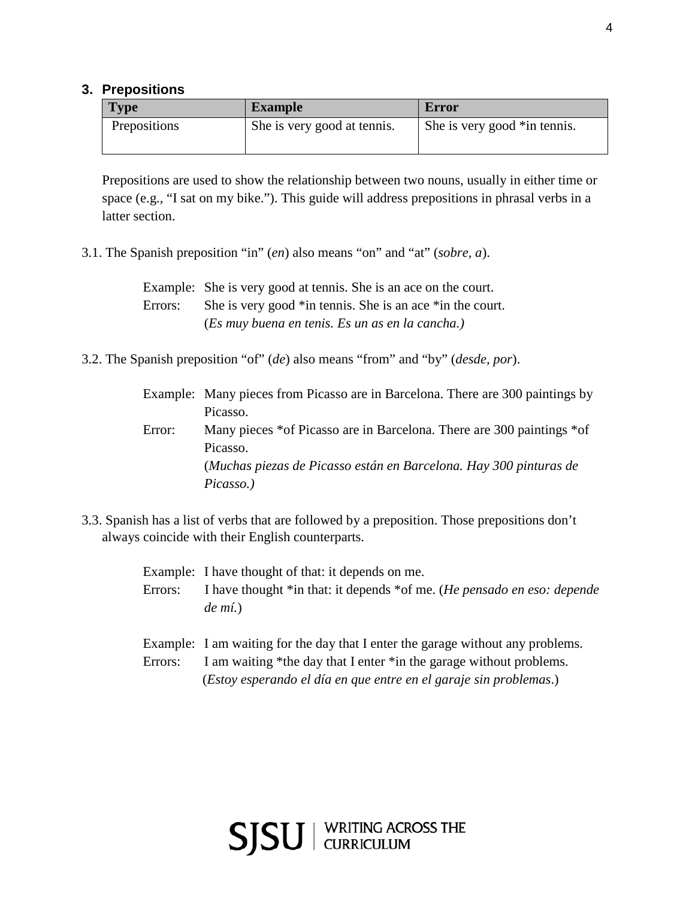#### **3. Prepositions**

| <b>Type</b>  | <b>Example</b>              | Error                        |
|--------------|-----------------------------|------------------------------|
| Prepositions | She is very good at tennis. | She is very good *in tennis. |

Prepositions are used to show the relationship between two nouns, usually in either time or space (e.g., "I sat on my bike."). This guide will address prepositions in phrasal verbs in a latter section.

3.1. The Spanish preposition "in" (*en*) also means "on" and "at" (*sobre, a*).

Example: She is very good at tennis. She is an ace on the court. Errors: She is very good \*in tennis. She is an ace \*in the court. (*Es muy buena en tenis. Es un as en la cancha.)*

3.2. The Spanish preposition "of" (*de*) also means "from" and "by" (*desde, por*).

|        | Example: Many pieces from Picasso are in Barcelona. There are 300 paintings by |  |
|--------|--------------------------------------------------------------------------------|--|
|        | Picasso.                                                                       |  |
| Error: | Many pieces *of Picasso are in Barcelona. There are 300 paintings *of          |  |
|        | Picasso.                                                                       |  |
|        | (Muchas piezas de Picasso están en Barcelona. Hay 300 pinturas de              |  |
|        | Picasso.)                                                                      |  |

3.3. Spanish has a list of verbs that are followed by a preposition. Those prepositions don't always coincide with their English counterparts.

|         | Example: I have thought of that: it depends on me.                                            |
|---------|-----------------------------------------------------------------------------------------------|
| Errors: | I have thought *in that: it depends *of me. ( <i>He pensado en eso: depende</i><br>$de\ m(i)$ |
|         | Example: I am waiting for the day that I enter the garage without any problems.               |

Errors: I am waiting \*the day that I enter \*in the garage without problems. (*Estoy esperando el día en que entre en el garaje sin problemas*.)

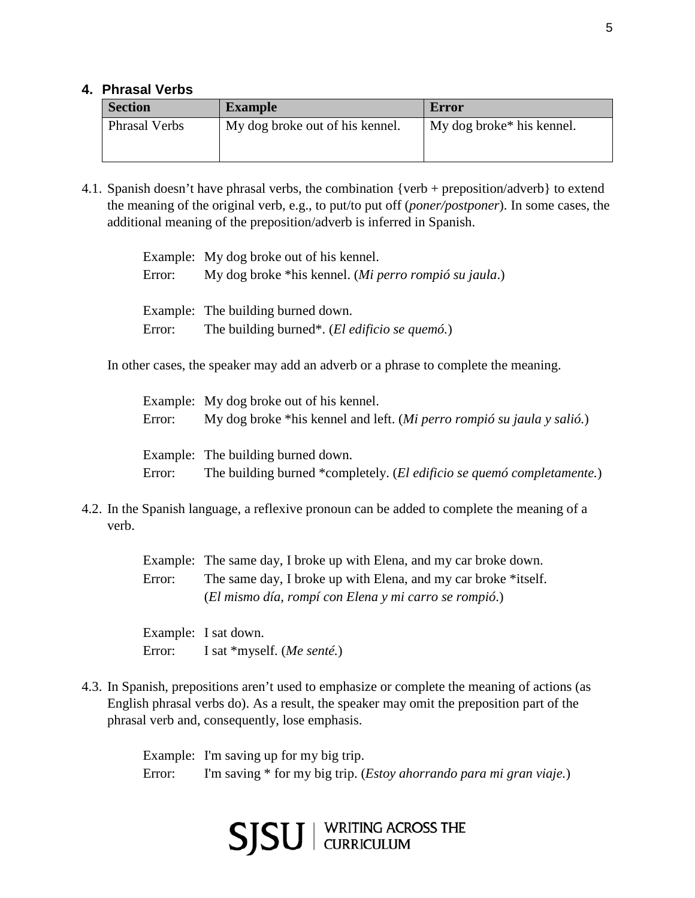#### **4. Phrasal Verbs**

| <b>Section</b>       | <b>Example</b>                  | Error                     |
|----------------------|---------------------------------|---------------------------|
| <b>Phrasal Verbs</b> | My dog broke out of his kennel. | My dog broke* his kennel. |

4.1. Spanish doesn't have phrasal verbs, the combination {verb + preposition/adverb} to extend the meaning of the original verb, e.g., to put/to put off (*poner/postponer*). In some cases, the additional meaning of the preposition/adverb is inferred in Spanish.

|        | Example: My dog broke out of his kennel.                            |
|--------|---------------------------------------------------------------------|
| Error: | My dog broke *his kennel. (Mi perro rompió su jaula.)               |
|        |                                                                     |
|        | Example: The building burned down.                                  |
| Error: | The building burned <sup>*</sup> . ( <i>El edificio se quemó</i> .) |

In other cases, the speaker may add an adverb or a phrase to complete the meaning.

Example: My dog broke out of his kennel. Error: My dog broke \*his kennel and left. (*Mi perro rompió su jaula y salió.*) Example: The building burned down. Error: The building burned \*completely. (*El edificio se quemó completamente.*)

4.2. In the Spanish language, a reflexive pronoun can be added to complete the meaning of a verb.

> Example: The same day, I broke up with Elena, and my car broke down. Error: The same day, I broke up with Elena, and my car broke \*itself. (*El mismo día, rompí con Elena y mi carro se rompió*.)

Example: I sat down. Error: I sat \*myself. (*Me senté.*)

4.3. In Spanish, prepositions aren't used to emphasize or complete the meaning of actions (as English phrasal verbs do). As a result, the speaker may omit the preposition part of the phrasal verb and, consequently, lose emphasis.

> Example: I'm saving up for my big trip. Error: I'm saving \* for my big trip. (*Estoy ahorrando para mi gran viaje.*)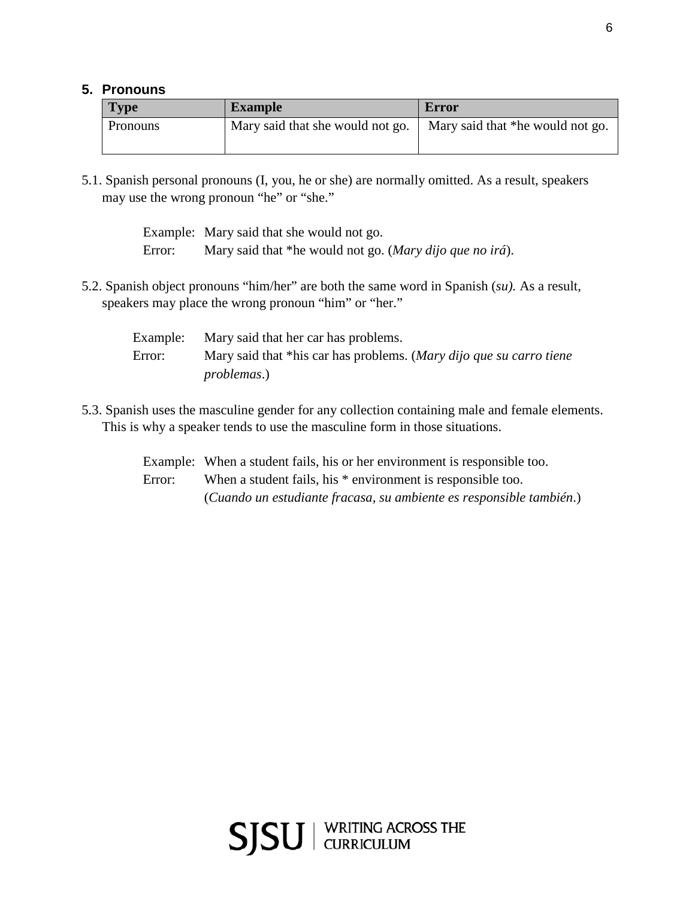### **5. Pronouns**

| <b>Type</b> | <b>Example</b>                   | Error                            |
|-------------|----------------------------------|----------------------------------|
| Pronouns    | Mary said that she would not go. | Mary said that *he would not go. |

5.1. Spanish personal pronouns (I, you, he or she) are normally omitted. As a result, speakers may use the wrong pronoun "he" or "she."

|        | Example: Mary said that she would not go.                |
|--------|----------------------------------------------------------|
| Error: | Mary said that *he would not go. (Mary dijo que no irá). |

5.2. Spanish object pronouns "him/her" are both the same word in Spanish (*su).* As a result, speakers may place the wrong pronoun "him" or "her."

| Example: | Mary said that her car has problems.                                |
|----------|---------------------------------------------------------------------|
| Error:   | Mary said that *his car has problems. (Mary dijo que su carro tiene |
|          | <i>problemas.</i> )                                                 |

5.3. Spanish uses the masculine gender for any collection containing male and female elements. This is why a speaker tends to use the masculine form in those situations.

> Example: When a student fails, his or her environment is responsible too. Error: When a student fails, his \* environment is responsible too. (*Cuando un estudiante fracasa, su ambiente es responsible también*.)

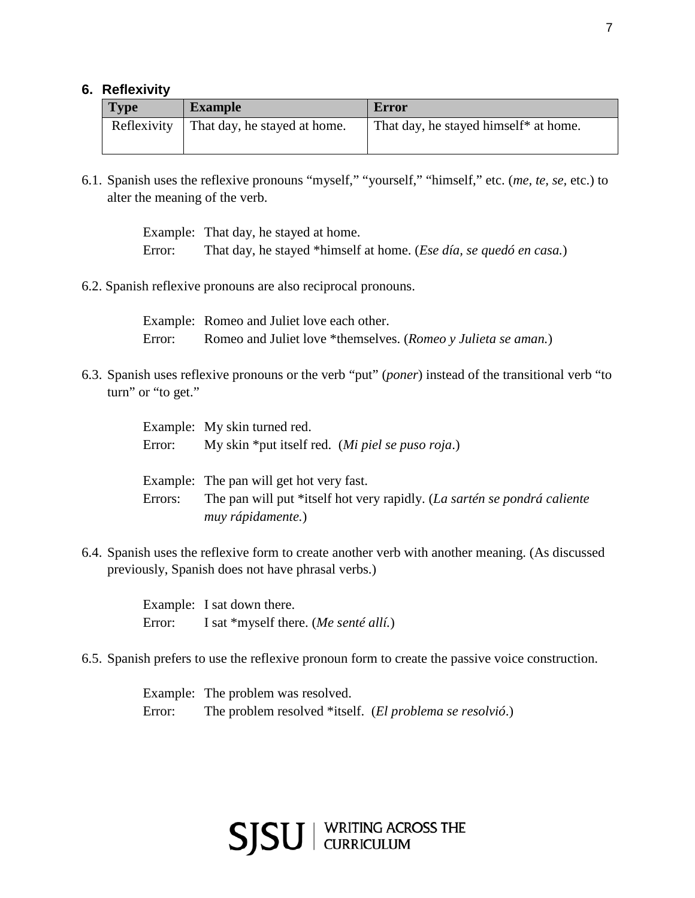#### **6. Reflexivity**

| <b>Type</b> | <b>Example</b>                           | Error                                 |
|-------------|------------------------------------------|---------------------------------------|
|             | Reflexivity That day, he stayed at home. | That day, he stayed himself* at home. |

6.1. Spanish uses the reflexive pronouns "myself," "yourself," "himself," etc. (*me, te, se,* etc.) to alter the meaning of the verb.

> Example: That day, he stayed at home. Error: That day, he stayed \*himself at home. (*Ese día, se quedó en casa.*)

6.2. Spanish reflexive pronouns are also reciprocal pronouns.

Example: Romeo and Juliet love each other. Error: Romeo and Juliet love \*themselves. (*Romeo y Julieta se aman.*)

6.3. Spanish uses reflexive pronouns or the verb "put" (*poner*) instead of the transitional verb "to turn" or "to get."

|        | Example: My skin turned red.                              |
|--------|-----------------------------------------------------------|
| Error: | My skin *put itself red. ( <i>Mi piel se puso roja</i> .) |

Example: The pan will get hot very fast. Errors: The pan will put \*itself hot very rapidly. (*La sartén se pondrá caliente muy rápidamente.*)

6.4. Spanish uses the reflexive form to create another verb with another meaning. (As discussed previously, Spanish does not have phrasal verbs.)

> Example: I sat down there. Error: I sat \*myself there. (*Me senté allí.*)

6.5. Spanish prefers to use the reflexive pronoun form to create the passive voice construction.

Example: The problem was resolved. Error: The problem resolved \*itself. (*El problema se resolvió*.)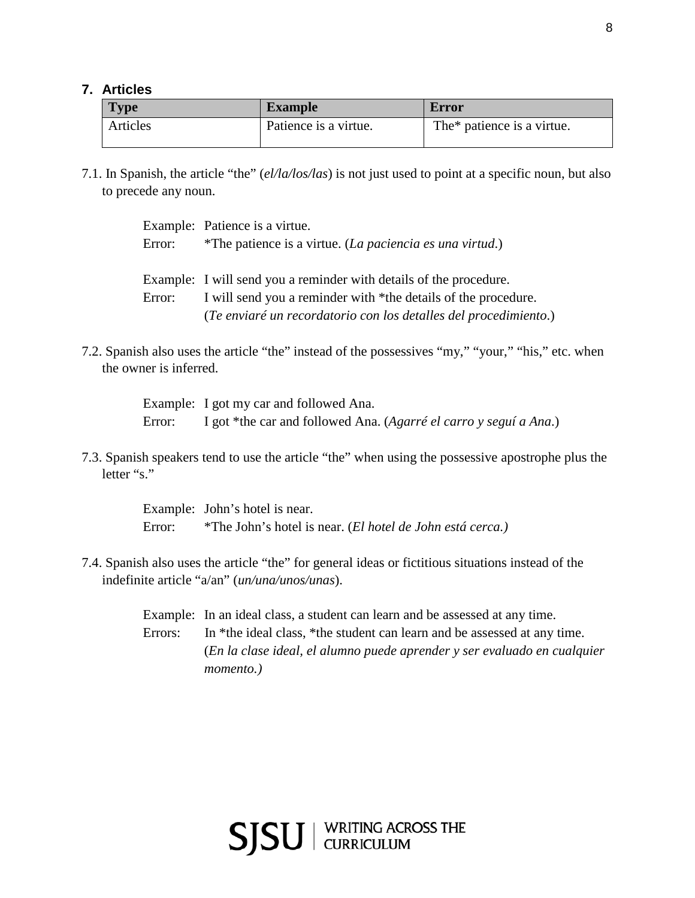#### **7. Articles**

| <b>Type</b> | <b>Example</b>        | Error                                  |
|-------------|-----------------------|----------------------------------------|
| Articles    | Patience is a virtue. | The <sup>*</sup> patience is a virtue. |

7.1. In Spanish, the article "the" (*el/la/los/las*) is not just used to point at a specific noun, but also to precede any noun.

|        | Example: Patience is a virtue.                                     |
|--------|--------------------------------------------------------------------|
| Error: | *The patience is a virtue. (La paciencia es una virtud.)           |
|        |                                                                    |
|        | Example: I will send you a reminder with details of the procedure. |
| Error: | I will send you a reminder with *the details of the procedure.     |
|        | (Te enviaré un recordatorio con los detalles del procedimiento.)   |

7.2. Spanish also uses the article "the" instead of the possessives "my," "your," "his," etc. when the owner is inferred.

> Example: I got my car and followed Ana. Error: I got \*the car and followed Ana. (*Agarré el carro y seguí a Ana*.)

7.3. Spanish speakers tend to use the article "the" when using the possessive apostrophe plus the letter "s."

> Example: John's hotel is near. Error: \*The John's hotel is near. (*El hotel de John está cerca.)*

- 7.4. Spanish also uses the article "the" for general ideas or fictitious situations instead of the indefinite article "a/an" (*un/una/unos/unas*).
	- Example: In an ideal class, a student can learn and be assessed at any time. Errors: In \*the ideal class, \*the student can learn and be assessed at any time. (*En la clase ideal, el alumno puede aprender y ser evaluado en cualquier momento.)*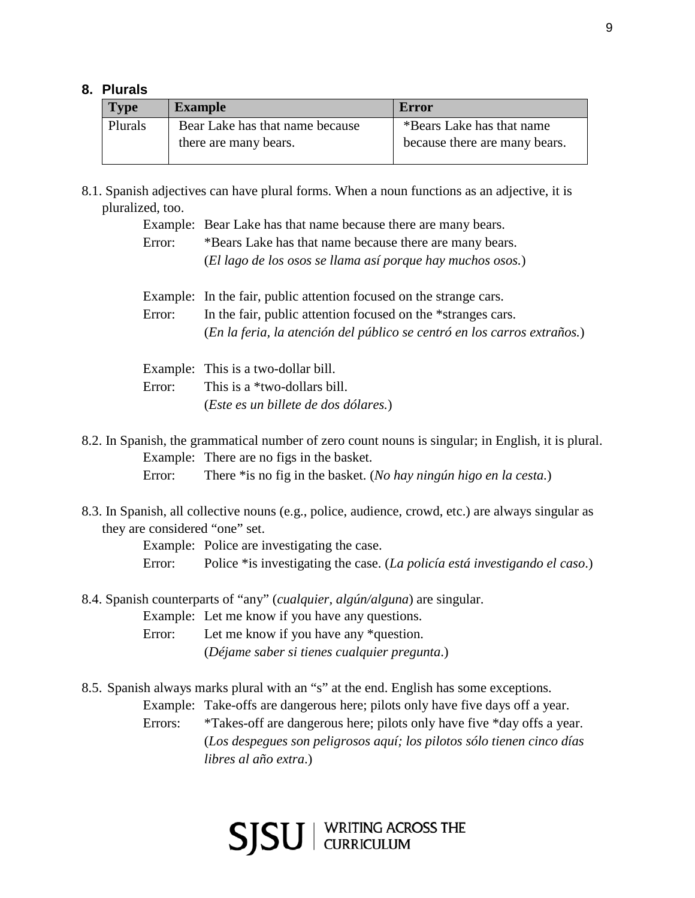#### **8. Plurals**

| <b>Type</b> | <b>Example</b>                                           | Error                                                      |
|-------------|----------------------------------------------------------|------------------------------------------------------------|
| Plurals     | Bear Lake has that name because<br>there are many bears. | *Bears Lake has that name<br>because there are many bears. |
|             |                                                          |                                                            |

8.1. Spanish adjectives can have plural forms. When a noun functions as an adjective, it is pluralized, too.

Example: Bear Lake has that name because there are many bears.

Error: \*Bears Lake has that name because there are many bears. (*El lago de los osos se llama así porque hay muchos osos.*)

|        | Example: In the fair, public attention focused on the strange cars.      |
|--------|--------------------------------------------------------------------------|
| Error: | In the fair, public attention focused on the *stranges cars.             |
|        | (En la feria, la atención del público se centró en los carros extraños.) |
|        |                                                                          |

- Example: This is a two-dollar bill. Error: This is a \*two-dollars bill. (*Este es un billete de dos dólares.*)
- 8.2. In Spanish, the grammatical number of zero count nouns is singular; in English, it is plural. Example: There are no figs in the basket. Error: There \*is no fig in the basket. (*No hay ningún higo en la cesta.*)
- 8.3. In Spanish, all collective nouns (e.g., police, audience, crowd, etc.) are always singular as they are considered "one" set.

Example: Police are investigating the case.

- Error: Police \*is investigating the case. (*La policía está investigando el caso*.)
- 8.4. Spanish counterparts of "any" (*cualquier, algún/alguna*) are singular.

Example: Let me know if you have any questions.

- Error: Let me know if you have any \*question. (*Déjame saber si tienes cualquier pregunta*.)
- 8.5. Spanish always marks plural with an "s" at the end. English has some exceptions.
	- Example: Take-offs are dangerous here; pilots only have five days off a year. Errors: \*Takes-off are dangerous here; pilots only have five \*day offs a year. (*Los despegues son peligrosos aquí; los pilotos sólo tienen cinco días libres al año extra*.)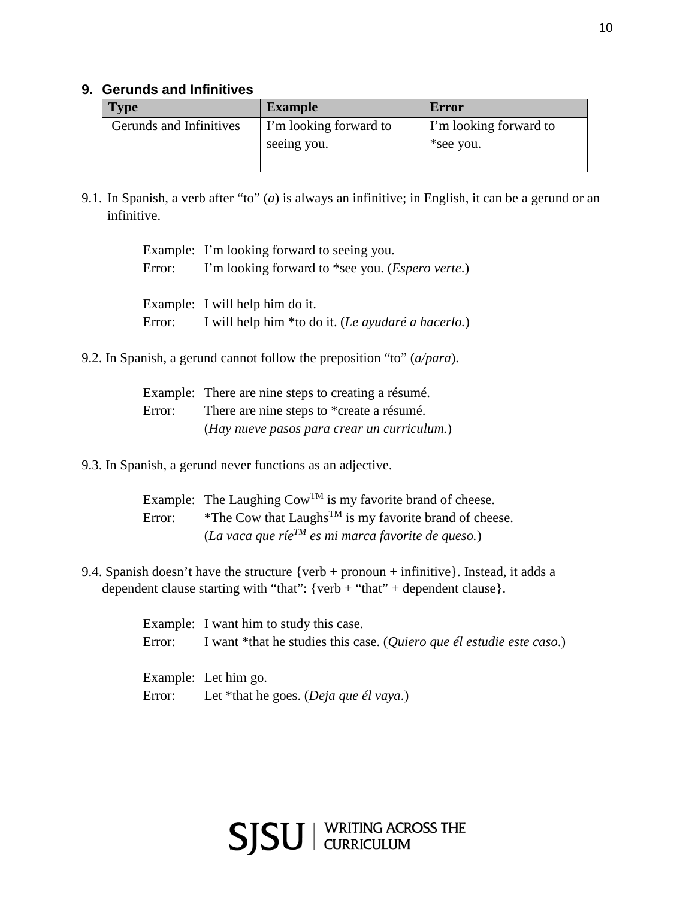### **9. Gerunds and Infinitives**

| Type                    | <b>Example</b>         | Error                  |
|-------------------------|------------------------|------------------------|
| Gerunds and Infinitives | I'm looking forward to | I'm looking forward to |
|                         | seeing you.            | *see you.              |

9.1. In Spanish, a verb after "to" (*a*) is always an infinitive; in English, it can be a gerund or an infinitive.

| Example: I'm looking forward to seeing you.                      |
|------------------------------------------------------------------|
| Error: I'm looking forward to *see you. ( <i>Espero verte.</i> ) |
| Example: I will help him do it.                                  |
| Error: I will help him *to do it. (Le ayudaré a hacerlo.)        |

9.2. In Spanish, a gerund cannot follow the preposition "to" (*a/para*).

| Example: There are nine steps to creating a résumé. |
|-----------------------------------------------------|
| Error: There are nine steps to *create a résumé.    |
| (Hay nueve pasos para crear un curriculum.)         |

9.3. In Spanish, a gerund never functions as an adjective.

Example: The Laughing  $\text{Cow}^{\text{TM}}$  is my favorite brand of cheese. Error:  $*$ The Cow that Laughs<sup>TM</sup> is my favorite brand of cheese. (*La vaca que ríeTM es mi marca favorite de queso.*)

9.4. Spanish doesn't have the structure {verb + pronoun + infinitive}. Instead, it adds a dependent clause starting with "that":  $\{verb +#" that" + dependent clause\}.$ 

| Example: I want him to study this case.                                               |
|---------------------------------------------------------------------------------------|
| Error: I want *that he studies this case. ( <i>Quiero que él estudie este caso</i> .) |
|                                                                                       |
| Example: Let him go.                                                                  |
| Error: Let *that he goes. ( <i>Deja que él vaya</i> .)                                |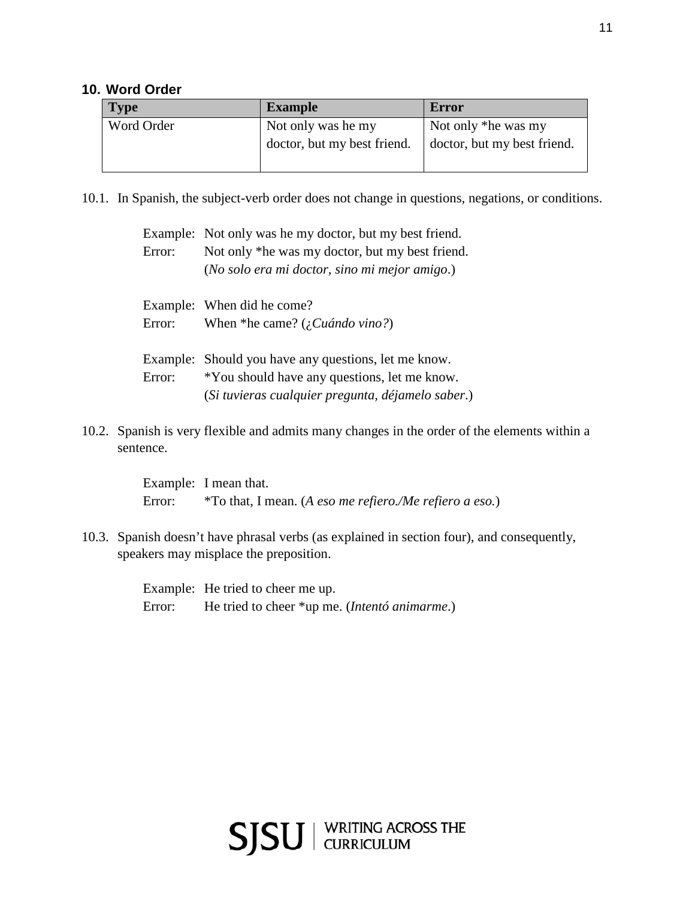#### **10. Word Order**

| <b>Type</b> | <b>Example</b>              | <b>Error</b>                |
|-------------|-----------------------------|-----------------------------|
| Word Order  | Not only was he my          | Not only *he was my         |
|             | doctor, but my best friend. | doctor, but my best friend. |
|             |                             |                             |

10.1. In Spanish, the subject-verb order does not change in questions, negations, or conditions.

|        | Example: Not only was he my doctor, but my best friend. |  |
|--------|---------------------------------------------------------|--|
| Error: | Not only *he was my doctor, but my best friend.         |  |
|        | (No solo era mi doctor, sino mi mejor amigo.)           |  |
|        | Example: When did he come?                              |  |
| Error: | When *he came? ( $i$ Cuándo vino?)                      |  |
|        | Example: Should you have any questions, let me know.    |  |
| Error: | *You should have any questions, let me know.            |  |
|        | (Si tuvieras cualquier pregunta, déjamelo saber.)       |  |

10.2. Spanish is very flexible and admits many changes in the order of the elements within a sentence.

> Example: I mean that. Error: \*To that, I mean. (*A eso me refiero./Me refiero a eso.*)

10.3. Spanish doesn't have phrasal verbs (as explained in section four), and consequently, speakers may misplace the preposition.

> Example: He tried to cheer me up. Error: He tried to cheer \*up me. (*Intentó animarme*.)